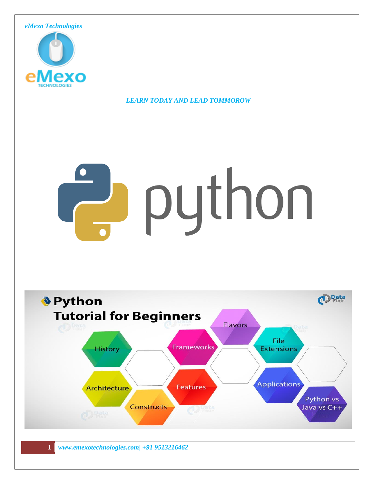

*LEARN TODAY AND LEAD TOMMOROW*

# puthon

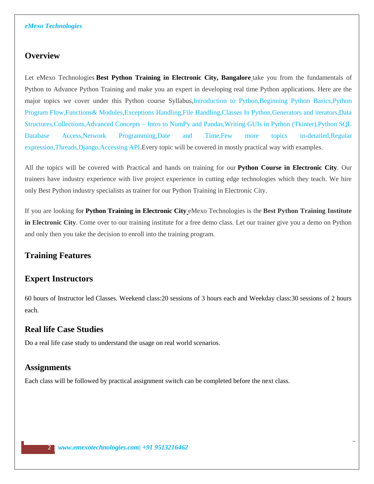## **Overview**

Let eMexo Technologies **[Best Python Training in Electronic City, Bangalore](https://www.emexotechnologies.com/courses/python-certification-training-course/)** take you from the fundamentals of Python to Advance Python Training and make you an expert in developing real time Python applications. Here are the major topics we cover under this Python course Syllabus,Introduction to Python,Beginning Python Basics,Python Program Flow,Functions& Modules,Exceptions Handling,File Handling,Classes In Python,Generators and iterators,Data Structures,Collections,Advanced Concepts – Intro to NumPy and Pandas,Writing GUIs in Python (Tkinter),Python SQL Database Access,Network Programming,Date and Time,Few more topics in-detailed,Regular expression,Threads,Django,Accessing API.Every topic will be covered in mostly practical way with examples.

All the topics will be covered with Practical and hands on training for our **[Python Course in Electronic City](https://www.emexotechnologies.com/courses/python-certification-training-course/)**. Our trainers have industry experience with live project experience in cutting edge technologies which they teach. We hire only Best Python industry specialists as trainer for our Python Training in Electronic City.

If you are looking for **Python [Training in Electronic City](https://www.emexotechnologies.com/courses/python-certification-training-course/)** eMexo Technologies is the **Best Python Training Institute in Electronic City**. Come over to our training institute for a free demo class. Let our trainer give you a demo on Python and only then you take the decision to enroll into the training program.

# **Training Features**

# **Expert Instructors**

60 hours of Instructor led Classes. Weekend class:20 sessions of 3 hours each and Weekday class:30 sessions of 2 hours each.

## **Real life Case Studies**

Do a real life case study to understand the usage on real world scenarios.

## **Assignments**

Each class will be followed by practical assignment switch can be completed before the next class.

2 *www.emexotechnologies.com| +91 9513216462*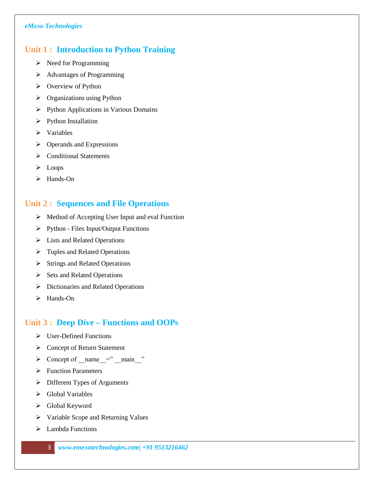# **Unit 1 : Introduction to Python Training**

- $\triangleright$  Need for Programming
- > Advantages of Programming
- $\triangleright$  Overview of Python
- $\triangleright$  Organizations using Python
- Python Applications in Various Domains
- $\triangleright$  Python Installation
- $\triangleright$  Variables
- $\triangleright$  Operands and Expressions
- **►** Conditional Statements
- $\triangleright$  Loops
- > Hands-On

# **Unit 2 : Sequences and File Operations**

- $\triangleright$  Method of Accepting User Input and eval Function
- $\triangleright$  Python Files Input/Output Functions
- $\triangleright$  Lists and Related Operations
- $\triangleright$  Tuples and Related Operations
- $\triangleright$  Strings and Related Operations
- $\triangleright$  Sets and Related Operations
- **Dictionaries and Related Operations**
- $\blacktriangleright$  Hands-On

# **Unit 3 : Deep Dive – Functions and OOPs**

- $\triangleright$  User-Defined Functions
- Concept of Return Statement
- $\triangleright$  Concept of name =" main "
- $\triangleright$  Function Parameters
- $\triangleright$  Different Types of Arguments
- Global Variables
- Global Keyword
- Variable Scope and Returning Values
- $\blacktriangleright$  Lambda Functions
	- 3 *www.emexotechnologies.com| +91 9513216462*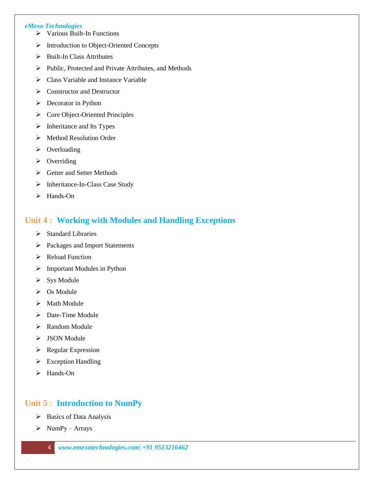#### *eMexo Technologies*

- Various Built-In Functions
- > Introduction to Object-Oriented Concepts
- $\triangleright$  Built-In Class Attributes
- Public, Protected and Private Attributes, and Methods
- $\triangleright$  Class Variable and Instance Variable
- $\triangleright$  Constructor and Destructor
- $\triangleright$  Decorator in Python
- $\triangleright$  Core Object-Oriented Principles
- $\triangleright$  Inheritance and Its Types
- Method Resolution Order
- $\triangleright$  Overloading
- $\triangleright$  Overriding
- Getter and Setter Methods
- $\triangleright$  Inheritance-In-Class Case Study
- $\blacktriangleright$  Hands-On

# **Unit 4 : Working with Modules and Handling Exceptions**

- $\triangleright$  Standard Libraries
- > Packages and Import Statements
- $\triangleright$  Reload Function
- Important Modules in Python
- $\triangleright$  Sys Module
- $\triangleright$  Os Module
- $\triangleright$  Math Module
- $\triangleright$  Date-Time Module
- > Random Module
- $\triangleright$  JSON Module
- $\triangleright$  Regular Expression
- $\triangleright$  Exception Handling
- $\blacktriangleright$  Hands-On

# **Unit 5 : Introduction to NumPy**

- $\triangleright$  Basics of Data Analysis
- $\triangleright$  NumPy Arrays
	- 4 *www.emexotechnologies.com| +91 9513216462*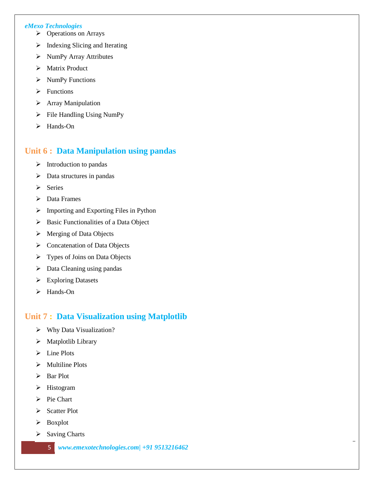#### *eMexo Technologies*

- $\triangleright$  Operations on Arrays
- $\triangleright$  Indexing Slicing and Iterating
- $\triangleright$  NumPy Array Attributes
- > Matrix Product
- $\triangleright$  NumPy Functions
- $\triangleright$  Functions
- > Array Manipulation
- $\triangleright$  File Handling Using NumPy
- > Hands-On

## **Unit 6 : Data Manipulation using pandas**

- $\triangleright$  Introduction to pandas
- $\triangleright$  Data structures in pandas
- $\triangleright$  Series
- $\triangleright$  Data Frames
- $\triangleright$  Importing and Exporting Files in Python
- $\triangleright$  Basic Functionalities of a Data Object
- > Merging of Data Objects
- Concatenation of Data Objects
- Types of Joins on Data Objects
- $\triangleright$  Data Cleaning using pandas
- Exploring Datasets
- > Hands-On

## **Unit 7 : Data Visualization using Matplotlib**

- Why Data Visualization?
- $\triangleright$  Matplotlib Library
- $\triangleright$  Line Plots
- $\triangleright$  Multiline Plots
- > Bar Plot
- > Histogram
- $\triangleright$  Pie Chart
- Scatter Plot
- > Boxplot
- $\triangleright$  Saving Charts
	- 5 *www.emexotechnologies.com| +91 9513216462*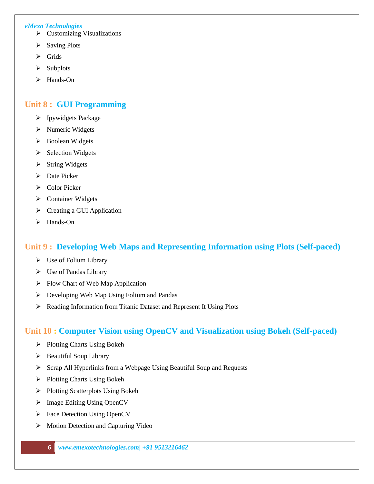#### *eMexo Technologies*

- $\triangleright$  Customizing Visualizations
- $\triangleright$  Saving Plots
- $\triangleright$  Grids
- $\triangleright$  Subplots
- > Hands-On

## **Unit 8 : GUI Programming**

- > Ipywidgets Package
- $\triangleright$  Numeric Widgets
- > Boolean Widgets
- $\triangleright$  Selection Widgets
- $\triangleright$  String Widgets
- $\triangleright$  Date Picker
- Color Picker
- $\triangleright$  Container Widgets
- Creating a GUI Application
- > Hands-On

# **Unit 9 : Developing Web Maps and Representing Information using Plots (Self-paced)**

- $\triangleright$  Use of Folium Library
- Use of Pandas Library
- $\triangleright$  Flow Chart of Web Map Application
- Developing Web Map Using Folium and Pandas
- Reading Information from Titanic Dataset and Represent It Using Plots

# **Unit 10 : Computer Vision using OpenCV and Visualization using Bokeh (Self-paced)**

- $\triangleright$  Plotting Charts Using Bokeh
- $\triangleright$  Beautiful Soup Library
- Scrap All Hyperlinks from a Webpage Using Beautiful Soup and Requests
- $\triangleright$  Plotting Charts Using Bokeh
- $\triangleright$  Plotting Scatterplots Using Bokeh
- $\triangleright$  Image Editing Using OpenCV
- Face Detection Using OpenCV
- $\triangleright$  Motion Detection and Capturing Video

6 *www.emexotechnologies.com| +91 9513216462*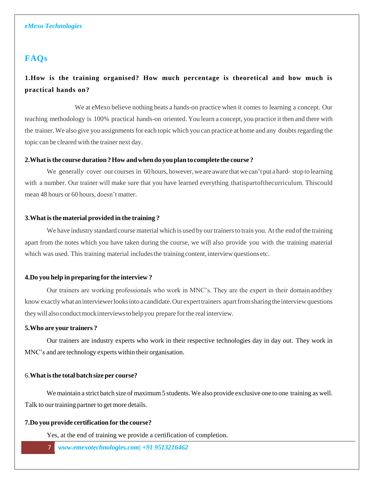## **FAQs**

# **1[.How is the training organised? How much percentage is theoretical and how much is](https://www.emexotechnologies.com/courses/other-technology-trainings/devops-training/?tab=tab-overview&amp%3Bac_8914_collapse1) [practical hands on?](https://www.emexotechnologies.com/courses/other-technology-trainings/devops-training/?tab=tab-overview&amp%3Bac_8914_collapse1)**

We at eMexo believe nothing beats a hands-on practice when it comes to learning a concept. Our teaching methodology is 100% practical hands-on oriented. You learn a concept, you practice it then and there with the trainer. We also give you assignments for each topic which you can practice at home and any doubts regarding the topic can be cleared with the trainer next day.

#### **[2.Whatisthe](https://www.emexotechnologies.com/courses/other-technology-trainings/devops-training/?tab=tab-overview&amp%3Bac_8914_collapse2) [course](https://www.emexotechnologies.com/courses/other-technology-trainings/devops-training/?tab=tab-overview&amp%3Bac_8914_collapse2) [duration?How](https://www.emexotechnologies.com/courses/other-technology-trainings/devops-training/?tab=tab-overview&amp%3Bac_8914_collapse2) [andwhen](https://www.emexotechnologies.com/courses/other-technology-trainings/devops-training/?tab=tab-overview&amp%3Bac_8914_collapse2) [do](https://www.emexotechnologies.com/courses/other-technology-trainings/devops-training/?tab=tab-overview&amp%3Bac_8914_collapse2) [youplan](https://www.emexotechnologies.com/courses/other-technology-trainings/devops-training/?tab=tab-overview&amp%3Bac_8914_collapse2) [to](https://www.emexotechnologies.com/courses/other-technology-trainings/devops-training/?tab=tab-overview&amp%3Bac_8914_collapse2) [complete](https://www.emexotechnologies.com/courses/other-technology-trainings/devops-training/?tab=tab-overview&amp%3Bac_8914_collapse2) [the](https://www.emexotechnologies.com/courses/other-technology-trainings/devops-training/?tab=tab-overview&amp%3Bac_8914_collapse2) [course](https://www.emexotechnologies.com/courses/other-technology-trainings/devops-training/?tab=tab-overview&amp%3Bac_8914_collapse2) [?](https://www.emexotechnologies.com/courses/other-technology-trainings/devops-training/?tab=tab-overview&amp%3Bac_8914_collapse2)**

We generally cover our courses in 60 hours, however, we are aware that we can't put a hard-stop to learning with a number. Our trainer will make sure that you have learned everything thatispartofthecurriculum. Thiscould mean 48 hours or 60 hours, doesn't matter.

#### **[3.What](https://www.emexotechnologies.com/courses/other-technology-trainings/devops-training/?tab=tab-overview&amp%3Bac_8914_collapse3) [isthe](https://www.emexotechnologies.com/courses/other-technology-trainings/devops-training/?tab=tab-overview&amp%3Bac_8914_collapse3) [material](https://www.emexotechnologies.com/courses/other-technology-trainings/devops-training/?tab=tab-overview&amp%3Bac_8914_collapse3) [provided](https://www.emexotechnologies.com/courses/other-technology-trainings/devops-training/?tab=tab-overview&amp%3Bac_8914_collapse3) [in](https://www.emexotechnologies.com/courses/other-technology-trainings/devops-training/?tab=tab-overview&amp%3Bac_8914_collapse3) [the](https://www.emexotechnologies.com/courses/other-technology-trainings/devops-training/?tab=tab-overview&amp%3Bac_8914_collapse3) [training](https://www.emexotechnologies.com/courses/other-technology-trainings/devops-training/?tab=tab-overview&amp%3Bac_8914_collapse3) [?](https://www.emexotechnologies.com/courses/other-technology-trainings/devops-training/?tab=tab-overview&amp%3Bac_8914_collapse3)**

We have industry standard course material which is used by our trainers to train you. At the end of the training apart from the notes which you have taken during the course, we will also provide you with the training material which was used. This training material includes the training content, interview questions etc.

#### **[4.Do](https://www.emexotechnologies.com/courses/other-technology-trainings/devops-training/?tab=tab-overview&amp%3Bac_8914_collapse4) [you](https://www.emexotechnologies.com/courses/other-technology-trainings/devops-training/?tab=tab-overview&amp%3Bac_8914_collapse4) [help](https://www.emexotechnologies.com/courses/other-technology-trainings/devops-training/?tab=tab-overview&amp%3Bac_8914_collapse4) [in](https://www.emexotechnologies.com/courses/other-technology-trainings/devops-training/?tab=tab-overview&amp%3Bac_8914_collapse4) [preparing](https://www.emexotechnologies.com/courses/other-technology-trainings/devops-training/?tab=tab-overview&amp%3Bac_8914_collapse4) [for](https://www.emexotechnologies.com/courses/other-technology-trainings/devops-training/?tab=tab-overview&amp%3Bac_8914_collapse4) [the](https://www.emexotechnologies.com/courses/other-technology-trainings/devops-training/?tab=tab-overview&amp%3Bac_8914_collapse4) [interview](https://www.emexotechnologies.com/courses/other-technology-trainings/devops-training/?tab=tab-overview&amp%3Bac_8914_collapse4) [?](https://www.emexotechnologies.com/courses/other-technology-trainings/devops-training/?tab=tab-overview&amp%3Bac_8914_collapse4)**

Our trainers are working professionals who work in MNC's. They are the expert in their domainandthey know exactly what an interviewer looks into a candidate. Our expert trainers apart from sharing the interview questions theywillalsoconductmockinterviewstohelpyou prepare forthe real interview.

#### **[5.Who](https://www.emexotechnologies.com/courses/other-technology-trainings/devops-training/?tab=tab-overview&amp%3Bac_8914_collapse5) [are](https://www.emexotechnologies.com/courses/other-technology-trainings/devops-training/?tab=tab-overview&amp%3Bac_8914_collapse5) [your](https://www.emexotechnologies.com/courses/other-technology-trainings/devops-training/?tab=tab-overview&amp%3Bac_8914_collapse5) [trainers](https://www.emexotechnologies.com/courses/other-technology-trainings/devops-training/?tab=tab-overview&amp%3Bac_8914_collapse5) [?](https://www.emexotechnologies.com/courses/other-technology-trainings/devops-training/?tab=tab-overview&amp%3Bac_8914_collapse5)**

Our trainers are industry experts who work in their respective technologies day in day out. They work in MNC's and are technology experts within their organisation.

#### 6.**[Whatisthe](https://www.emexotechnologies.com/courses/other-technology-trainings/devops-training/?tab=tab-overview&amp%3Bac_8914_collapse6) [total](https://www.emexotechnologies.com/courses/other-technology-trainings/devops-training/?tab=tab-overview&amp%3Bac_8914_collapse6) [batch](https://www.emexotechnologies.com/courses/other-technology-trainings/devops-training/?tab=tab-overview&amp%3Bac_8914_collapse6) [size](https://www.emexotechnologies.com/courses/other-technology-trainings/devops-training/?tab=tab-overview&amp%3Bac_8914_collapse6) [per](https://www.emexotechnologies.com/courses/other-technology-trainings/devops-training/?tab=tab-overview&amp%3Bac_8914_collapse6) [course?](https://www.emexotechnologies.com/courses/other-technology-trainings/devops-training/?tab=tab-overview&amp%3Bac_8914_collapse6)**

We maintain a strict batch size of maximum 5 students. We also provide exclusive one to one training as well. Talk to our training partner to get more details.

#### **[7.Do](https://www.emexotechnologies.com/courses/other-technology-trainings/devops-training/?tab=tab-overview&amp%3Bac_8914_collapse7) [you](https://www.emexotechnologies.com/courses/other-technology-trainings/devops-training/?tab=tab-overview&amp%3Bac_8914_collapse7) [provide](https://www.emexotechnologies.com/courses/other-technology-trainings/devops-training/?tab=tab-overview&amp%3Bac_8914_collapse7) [certification](https://www.emexotechnologies.com/courses/other-technology-trainings/devops-training/?tab=tab-overview&amp%3Bac_8914_collapse7) [for](https://www.emexotechnologies.com/courses/other-technology-trainings/devops-training/?tab=tab-overview&amp%3Bac_8914_collapse7) [the](https://www.emexotechnologies.com/courses/other-technology-trainings/devops-training/?tab=tab-overview&amp%3Bac_8914_collapse7) [course?](https://www.emexotechnologies.com/courses/other-technology-trainings/devops-training/?tab=tab-overview&amp%3Bac_8914_collapse7)**

Yes, at the end of training we provide a certification of completion.

7 *www.emexotechnologies.com| +91 9513216462*